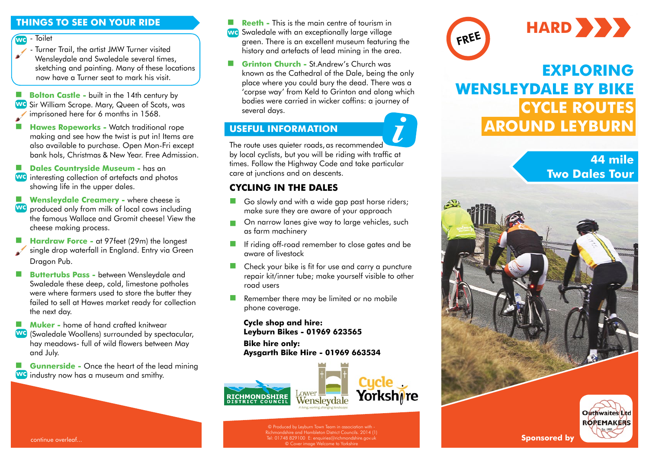## **THINGS TO SEE ON YOUR RIDE**

 - Toilet wc

> - Turner Trail, the artist JMW Turner visited Wensleydale and Swaledale several times, sketching and painting. Many of these locations now have a Turner seat to mark his visit.

**Bolton Castle -** built in the 14th century by WG Sir William Scrope. Mary, Queen of Scots, was imprisoned here for 6 months in 1568.

**Hawes Ropeworks - Watch traditional rope** making and see how the twist is put in! Items are also available to purchase. Open Mon-Fri except bank hols, Christmas & New Year. Free Admission.

**Dales Countryside Museum -** has an

- **We** interesting collection of artefacts and photos showing life in the upper dales.
- **Wensleydale Creamery -** where cheese is We produced only from milk of local cows including the famous Wallace and Gromit cheese! View the
- cheese making process. **Hardraw Force - at 97feet (29m) the longest** single drop waterfall in England. Entry via Green Dragon Pub.
- **Buttertubs Pass -** between Wensleydale and Swaledale these deep, cold, limestone potholes were where farmers used to store the butter they failed to sell at Hawes market ready for collection the next day.

**Muker -** home of hand crafted knitwear

We (Swaledale Woollens) surrounded by spectacular, hay meadows- full of wild flowers between May and July.

 **Gunnerside -** Once the heart of the lead mining **WG** industry now has a museum and smithy.

- **Reeth -** This is the main centre of tourism in we Swaledale with an exceptionally large village green. There is an excellent museum featuring the history and artefacts of lead mining in the area.
- **Grinton Church -** St.Andrew's Church was known as the Cathedral of the Dale, being the only place where you could bury the dead. There was a 'corpse way' from Keld to Grinton and along which bodies were carried in wicker coffins: a journey of several days.

## **USEFUL INFORMATION**

The route uses quieter roads, as recommended by local cyclists, but you will be riding with traffic at times. Follow the Highway Code and take particular care at junctions and on descents. *i*

## **CYCLING IN THE DALES**

- Go slowly and with a wide gap past horse riders; make sure they are aware of your approach
- On narrow lanes give way to large vehicles, such as farm machinery
- **If riding off-road remember to close gates and be** aware of livestock
- **Check your bike is fit for use and carry a puncture** repair kit/inner tube; make yourself visible to other road users
- Remember there may be limited or no mobile phone coverage.

**Cycle shop and hire: Leyburn Bikes - 01969 623565 Bike hire only: Aysgarth Bi[ke Hire - 01969 6](http://www.lower-wensleydale.com/)63534**



© Produced by Leyburn Town Team in association with - Richmondshire and Hambleton District Councils. 2014 (1) © Cover image Welcome to Yorkshire





# **EXPLORING WENSLEYDALE BY BIKE CYCLE ROUTES AROUND LEYBURN**

# **44 mile Two Dales Tour**